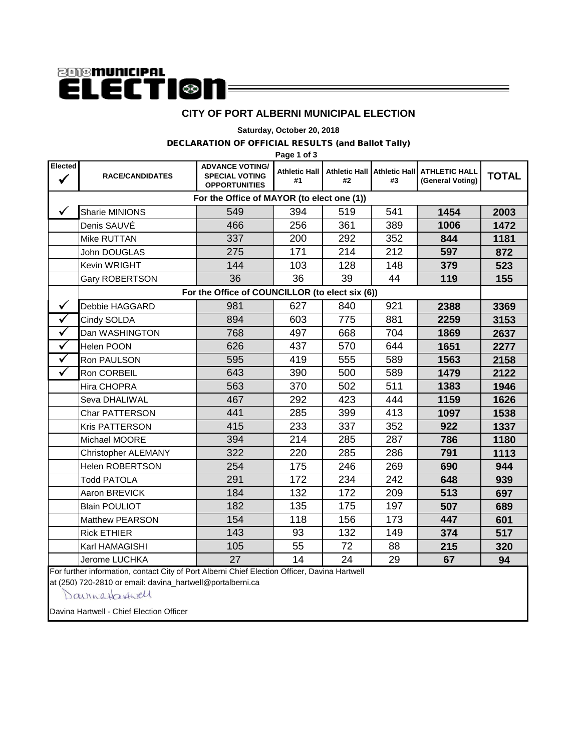# **anomunicipal ELECTI®n**

#### **CITY OF PORT ALBERNI MUNICIPAL ELECTION**

**Saturday, October 20, 2018**

#### DECLARATION OF OFFICIAL RESULTS (and Ballot Tally)

**Page 1 of 3**

| Elected<br>$\checkmark$                    | <b>RACE/CANDIDATES</b>                          | <b>ADVANCE VOTING/</b><br><b>SPECIAL VOTING</b><br><b>OPPORTUNITIES</b> | <b>Athletic Hall</b><br>#1 | #2  | #3  | Athletic Hall Athletic Hall ATHLETIC HALL<br>(General Voting) | <b>TOTAL</b> |  |  |
|--------------------------------------------|-------------------------------------------------|-------------------------------------------------------------------------|----------------------------|-----|-----|---------------------------------------------------------------|--------------|--|--|
| For the Office of MAYOR (to elect one (1)) |                                                 |                                                                         |                            |     |     |                                                               |              |  |  |
| ✓                                          | <b>Sharie MINIONS</b>                           | 549                                                                     | 394                        | 519 | 541 | 1454                                                          | 2003         |  |  |
|                                            | Denis SAUVÉ                                     | 466                                                                     | 256                        | 361 | 389 | 1006                                                          | 1472         |  |  |
|                                            | Mike RUTTAN                                     | 337                                                                     | 200                        | 292 | 352 | 844                                                           | 1181         |  |  |
|                                            | John DOUGLAS                                    | 275                                                                     | 171                        | 214 | 212 | 597                                                           | 872          |  |  |
|                                            | Kevin WRIGHT                                    | 144                                                                     | 103                        | 128 | 148 | 379                                                           | 523          |  |  |
|                                            | Gary ROBERTSON                                  | 36                                                                      | 36                         | 39  | 44  | 119                                                           | 155          |  |  |
|                                            | For the Office of COUNCILLOR (to elect six (6)) |                                                                         |                            |     |     |                                                               |              |  |  |
| $\checkmark$                               | Debbie HAGGARD                                  | 981                                                                     | 627                        | 840 | 921 | 2388                                                          | 3369         |  |  |
| $\checkmark$                               | Cindy SOLDA                                     | 894                                                                     | 603                        | 775 | 881 | 2259                                                          | 3153         |  |  |
| $\checkmark$                               | Dan WASHINGTON                                  | 768                                                                     | 497                        | 668 | 704 | 1869                                                          | 2637         |  |  |
| $\overline{\checkmark}$                    | Helen POON                                      | 626                                                                     | 437                        | 570 | 644 | 1651                                                          | 2277         |  |  |
| $\checkmark$                               | Ron PAULSON                                     | 595                                                                     | 419                        | 555 | 589 | 1563                                                          | 2158         |  |  |
| $\checkmark$                               | Ron CORBEIL                                     | 643                                                                     | 390                        | 500 | 589 | 1479                                                          | 2122         |  |  |
|                                            | Hira CHOPRA                                     | 563                                                                     | 370                        | 502 | 511 | 1383                                                          | 1946         |  |  |
|                                            | Seva DHALIWAL                                   | 467                                                                     | 292                        | 423 | 444 | 1159                                                          | 1626         |  |  |
|                                            | <b>Char PATTERSON</b>                           | 441                                                                     | 285                        | 399 | 413 | 1097                                                          | 1538         |  |  |
|                                            | <b>Kris PATTERSON</b>                           | 415                                                                     | 233                        | 337 | 352 | 922                                                           | 1337         |  |  |
|                                            | Michael MOORE                                   | 394                                                                     | 214                        | 285 | 287 | 786                                                           | 1180         |  |  |
|                                            | Christopher ALEMANY                             | 322                                                                     | 220                        | 285 | 286 | 791                                                           | 1113         |  |  |
|                                            | <b>Helen ROBERTSON</b>                          | 254                                                                     | 175                        | 246 | 269 | 690                                                           | 944          |  |  |
|                                            | <b>Todd PATOLA</b>                              | 291                                                                     | 172                        | 234 | 242 | 648                                                           | 939          |  |  |
|                                            | Aaron BREVICK                                   | 184                                                                     | 132                        | 172 | 209 | 513                                                           | 697          |  |  |
|                                            | <b>Blain POULIOT</b>                            | 182                                                                     | 135                        | 175 | 197 | 507                                                           | 689          |  |  |
|                                            | <b>Matthew PEARSON</b>                          | 154                                                                     | 118                        | 156 | 173 | 447                                                           | 601          |  |  |
|                                            | <b>Rick ETHIER</b>                              | 143                                                                     | 93                         | 132 | 149 | 374                                                           | 517          |  |  |
|                                            | Karl HAMAGISHI                                  | 105                                                                     | 55                         | 72  | 88  | 215                                                           | 320          |  |  |
|                                            | <b>Jerome LUCHKA</b>                            | 27                                                                      | 14                         | 24  | 29  | 67                                                            | 94           |  |  |

For further information, contact City of Port Alberni Chief Election Officer, Davina Hartwell

at (250) 720-2810 or email: davina\_hartwell@portalberni.ca

Davingtaxtwell

Davina Hartwell - Chief Election Officer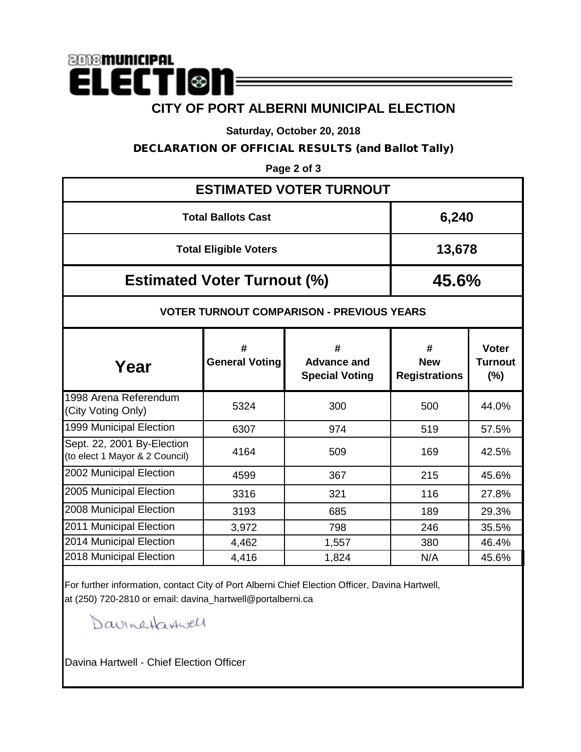## **2018 municipal ELECTI®I CITY OF PORT ALBERNI MUNICIPAL ELECTION**

**Saturday, October 20, 2018**

DECLARATION OF OFFICIAL RESULTS (and Ballot Tally)

**Page 2 of 3**

| <b>ESTIMATED VOTER TURNOUT</b>                               |                                                  |                                                  |                                         |                                       |  |  |  |  |  |
|--------------------------------------------------------------|--------------------------------------------------|--------------------------------------------------|-----------------------------------------|---------------------------------------|--|--|--|--|--|
| <b>Total Ballots Cast</b>                                    | 6,240                                            |                                                  |                                         |                                       |  |  |  |  |  |
| <b>Total Eligible Voters</b>                                 | 13,678                                           |                                                  |                                         |                                       |  |  |  |  |  |
| <b>Estimated Voter Turnout (%)</b>                           | 45.6%                                            |                                                  |                                         |                                       |  |  |  |  |  |
|                                                              | <b>VOTER TURNOUT COMPARISON - PREVIOUS YEARS</b> |                                                  |                                         |                                       |  |  |  |  |  |
| Year                                                         | #<br><b>General Voting</b>                       | #<br><b>Advance and</b><br><b>Special Voting</b> | #<br><b>New</b><br><b>Registrations</b> | <b>Voter</b><br><b>Turnout</b><br>(%) |  |  |  |  |  |
| 1998 Arena Referendum<br>(City Voting Only)                  | 5324                                             | 300                                              | 500                                     | 44.0%                                 |  |  |  |  |  |
| 1999 Municipal Election                                      | 6307                                             | 974                                              | 519                                     | 57.5%                                 |  |  |  |  |  |
| Sept. 22, 2001 By-Election<br>(to elect 1 Mayor & 2 Council) | 4164                                             | 509                                              | 169                                     | 42.5%                                 |  |  |  |  |  |
| 2002 Municipal Election                                      | 4599                                             | 367                                              | 215                                     | 45.6%                                 |  |  |  |  |  |
| 2005 Municipal Election                                      | 3316                                             | 321                                              | 116                                     | 27.8%                                 |  |  |  |  |  |
| 2008 Municipal Election                                      | 3193                                             | 685                                              | 189                                     | 29.3%                                 |  |  |  |  |  |
| 2011 Municipal Election                                      | 3,972                                            | 798                                              | 246                                     | 35.5%                                 |  |  |  |  |  |
| 2014 Municipal Election                                      | 4,462                                            | 1,557                                            | 380                                     | 46.4%                                 |  |  |  |  |  |
| 2018 Municipal Election                                      | 4,416                                            | 1,824                                            | N/A                                     | 45.6%                                 |  |  |  |  |  |

For further information, contact City of Port Alberni Chief Election Officer, Davina Hartwell, at (250) 720-2810 or email: davina\_hartwell@portalberni.ca

Davingtaxtwell

Davina Hartwell - Chief Election Officer